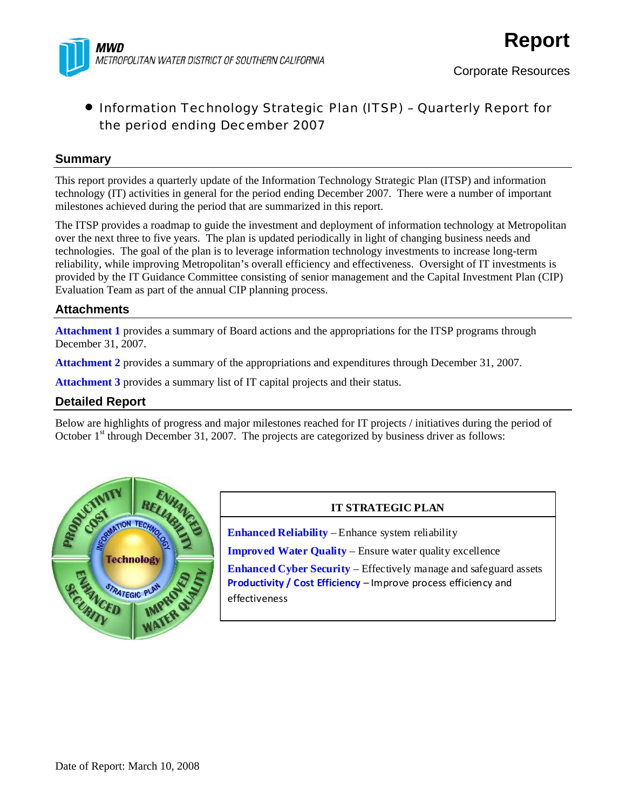

## **Summary**

This report provides a quarterly update of the Information Technology Strategic Plan (ITSP) and information technology (IT) activities in general for the period ending December 2007. There were a number of important milestones achieved during the period that are summarized in this report.

The ITSP provides a roadmap to guide the investment and deployment of information technology at Metropolitan over the next three to five years. The plan is updated periodically in light of changing business needs and technologies. The goal of the plan is to leverage information technology investments to increase long-term reliability, while improving Metropolitan's overall efficiency and effectiveness. Oversight of IT investments is provided by the IT Guidance Committee consisting of senior management and the Capital Investment Plan (CIP) Evaluation Team as part of the annual CIP planning process.

## **Attachments**

**Attachment 1** provides a summary of Board actions and the appropriations for the ITSP programs through December 31, 2007.

**Attachment 2** provides a summary of the appropriations and expenditures through December 31, 2007.

**Attachment 3** provides a summary list of IT capital projects and their status.

## **Detailed Report**

Below are highlights of progress and major milestones reached for IT projects / initiatives during the period of October  $1<sup>st</sup>$  through December 31, 2007. The projects are categorized by business driver as follows:



## **IT STRATEGIC PLAN**

**Enhanced Reliability** – Enhance system reliability

**Improved Water Quality** – Ensure water quality excellence

**Enhanced Cyber Security** – Effectively manage and safeguard assets **Productivity / Cost Efficiency** – Improve process efficiency and effectiveness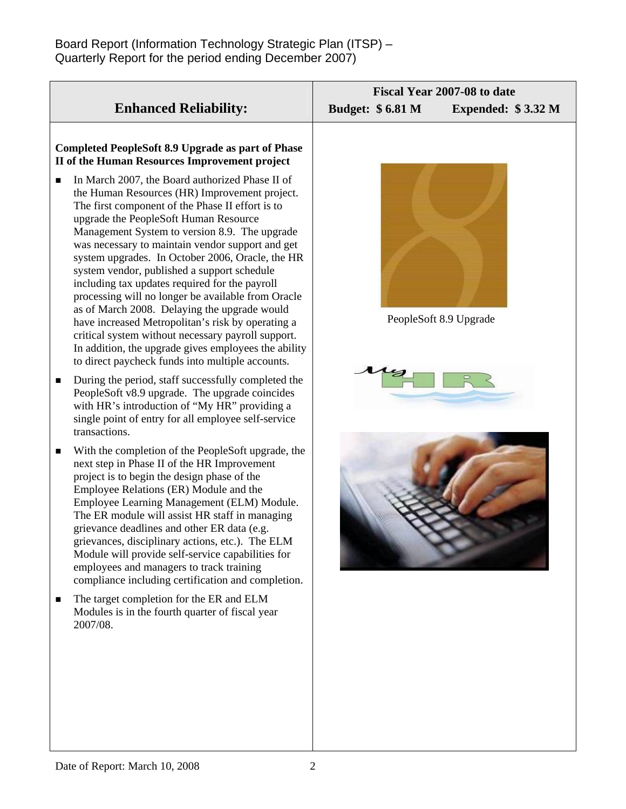| <b>Enhanced Reliability:</b>                                                                                                                                                                                                                                                                                                                                                                                                                                                                                                                                                                                                                                                                                                                                                              | Fiscal Year 2007-08 to date<br><b>Budget: \$6.81 M</b><br>Expended: \$3.32 M |  |
|-------------------------------------------------------------------------------------------------------------------------------------------------------------------------------------------------------------------------------------------------------------------------------------------------------------------------------------------------------------------------------------------------------------------------------------------------------------------------------------------------------------------------------------------------------------------------------------------------------------------------------------------------------------------------------------------------------------------------------------------------------------------------------------------|------------------------------------------------------------------------------|--|
| Completed PeopleSoft 8.9 Upgrade as part of Phase<br>II of the Human Resources Improvement project                                                                                                                                                                                                                                                                                                                                                                                                                                                                                                                                                                                                                                                                                        |                                                                              |  |
| In March 2007, the Board authorized Phase II of<br>п<br>the Human Resources (HR) Improvement project.<br>The first component of the Phase II effort is to<br>upgrade the PeopleSoft Human Resource<br>Management System to version 8.9. The upgrade<br>was necessary to maintain vendor support and get<br>system upgrades. In October 2006, Oracle, the HR<br>system vendor, published a support schedule<br>including tax updates required for the payroll<br>processing will no longer be available from Oracle<br>as of March 2008. Delaying the upgrade would<br>have increased Metropolitan's risk by operating a<br>critical system without necessary payroll support.<br>In addition, the upgrade gives employees the ability<br>to direct paycheck funds into multiple accounts. | PeopleSoft 8.9 Upgrade                                                       |  |
| During the period, staff successfully completed the<br>п<br>PeopleSoft v8.9 upgrade. The upgrade coincides<br>with HR's introduction of "My HR" providing a<br>single point of entry for all employee self-service<br>transactions.                                                                                                                                                                                                                                                                                                                                                                                                                                                                                                                                                       |                                                                              |  |
| With the completion of the PeopleSoft upgrade, the<br>п<br>next step in Phase II of the HR Improvement<br>project is to begin the design phase of the<br>Employee Relations (ER) Module and the<br>Employee Learning Management (ELM) Module.<br>The ER module will assist HR staff in managing<br>grievance deadlines and other ER data (e.g<br>grievances, disciplinary actions, etc.). The ELM<br>Module will provide self-service capabilities for<br>employees and managers to track training<br>compliance including certification and completion.                                                                                                                                                                                                                                  |                                                                              |  |
| The target completion for the ER and ELM<br>■<br>Modules is in the fourth quarter of fiscal year<br>2007/08.                                                                                                                                                                                                                                                                                                                                                                                                                                                                                                                                                                                                                                                                              |                                                                              |  |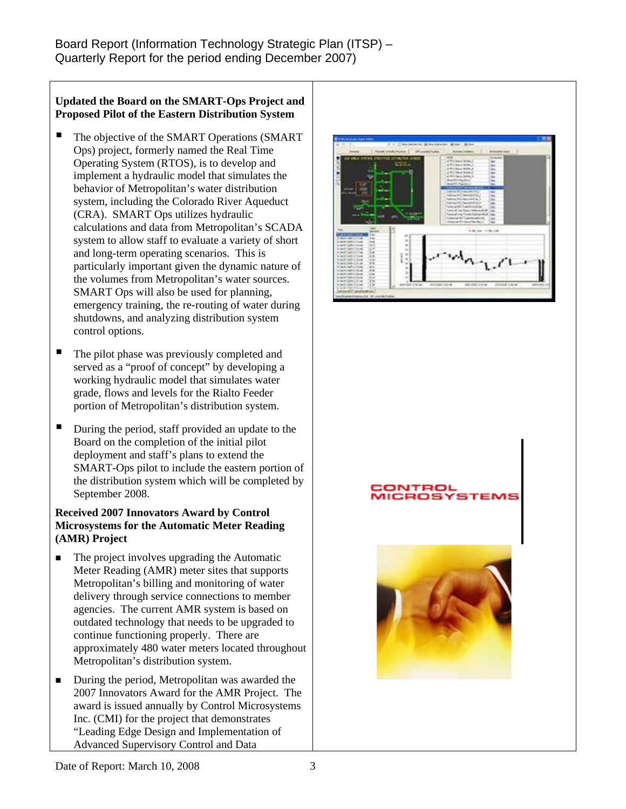## **Updated the Board on the SMART-Ops Project and Proposed Pilot of the Eastern Distribution System**

- The objective of the SMART Operations (SMART Ops) project, formerly named the Real Time Operating System (RTOS), is to develop and implement a hydraulic model that simulates the behavior of Metropolitan's water distribution system, including the Colorado River Aqueduct (CRA). SMART Ops utilizes hydraulic calculations and data from Metropolitan's SCADA system to allow staff to evaluate a variety of short and long-term operating scenarios. This is particularly important given the dynamic nature of the volumes from Metropolitan's water sources. SMART Ops will also be used for planning, emergency training, the re-routing of water during shutdowns, and analyzing distribution system control options.
- The pilot phase was previously completed and served as a "proof of concept" by developing a working hydraulic model that simulates water grade, flows and levels for the Rialto Feeder portion of Metropolitan's distribution system.
- During the period, staff provided an update to the Board on the completion of the initial pilot deployment and staff's plans to extend the SMART-Ops pilot to include the eastern portion of the distribution system which will be completed by September 2008.

## **Received 2007 Innovators Award by Control Microsystems for the Automatic Meter Reading (AMR) Project**

- $\blacksquare$  The project involves upgrading the Automatic Meter Reading (AMR) meter sites that supports Metropolitan's billing and monitoring of water delivery through service connections to member agencies. The current AMR system is based on outdated technology that needs to be upgraded to continue functioning properly. There are approximately 480 water meters located throughout Metropolitan's distribution system.
- During the period, Metropolitan was awarded the 2007 Innovators Award for the AMR Project. The award is issued annually by Control Microsystems Inc. (CMI) for the project that demonstrates "Leading Edge Design and Implementation of Advanced Supervisory Control and Data



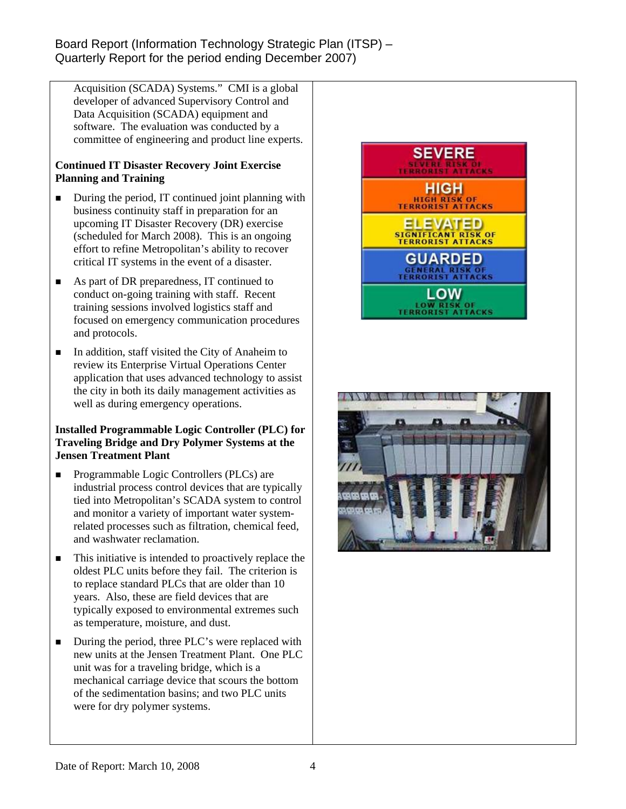Acquisition (SCADA) Systems." CMI is a global developer of advanced Supervisory Control and Data Acquisition (SCADA) equipment and software. The evaluation was conducted by a committee of engineering and product line experts.

## **Continued IT Disaster Recovery Joint Exercise Planning and Training**

- During the period, IT continued joint planning with business continuity staff in preparation for an upcoming IT Disaster Recovery (DR) exercise (scheduled for March 2008). This is an ongoing effort to refine Metropolitan's ability to recover critical IT systems in the event of a disaster.
- As part of DR preparedness, IT continued to conduct on-going training with staff. Recent training sessions involved logistics staff and focused on emergency communication procedures and protocols.
- $\blacksquare$  In addition, staff visited the City of Anaheim to review its Enterprise Virtual Operations Center application that uses advanced technology to assist the city in both its daily management activities as well as during emergency operations.

## **Installed Programmable Logic Controller (PLC) for Traveling Bridge and Dry Polymer Systems at the Jensen Treatment Plant**

- **Programmable Logic Controllers (PLCs) are** industrial process control devices that are typically tied into Metropolitan's SCADA system to control and monitor a variety of important water systemrelated processes such as filtration, chemical feed, and washwater reclamation.
- This initiative is intended to proactively replace the oldest PLC units before they fail. The criterion is to replace standard PLCs that are older than 10 years. Also, these are field devices that are typically exposed to environmental extremes such as temperature, moisture, and dust.
- During the period, three PLC's were replaced with new units at the Jensen Treatment Plant. One PLC unit was for a traveling bridge, which is a mechanical carriage device that scours the bottom of the sedimentation basins; and two PLC units were for dry polymer systems.



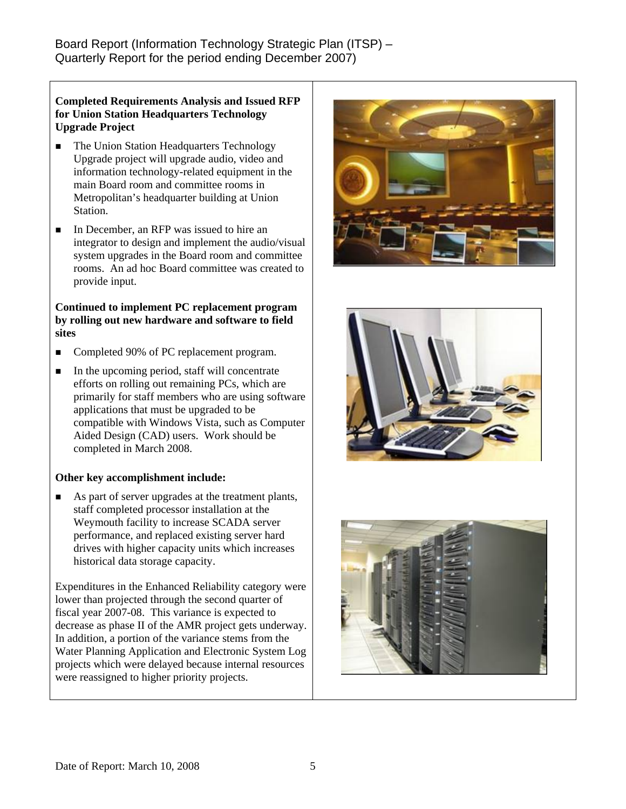### **Completed Requirements Analysis and Issued RFP for Union Station Headquarters Technology Upgrade Project**

- The Union Station Headquarters Technology Upgrade project will upgrade audio, video and information technology-related equipment in the main Board room and committee rooms in Metropolitan's headquarter building at Union Station.
- In December, an RFP was issued to hire an integrator to design and implement the audio/visual system upgrades in the Board room and committee rooms. An ad hoc Board committee was created to provide input.

#### **Continued to implement PC replacement program by rolling out new hardware and software to field sites**

- Completed 90% of PC replacement program.
- $\blacksquare$  In the upcoming period, staff will concentrate efforts on rolling out remaining PCs, which are primarily for staff members who are using software applications that must be upgraded to be compatible with Windows Vista, such as Computer Aided Design (CAD) users. Work should be completed in March 2008.

## **Other key accomplishment include:**

 As part of server upgrades at the treatment plants, staff completed processor installation at the Weymouth facility to increase SCADA server performance, and replaced existing server hard drives with higher capacity units which increases historical data storage capacity.

Expenditures in the Enhanced Reliability category were lower than projected through the second quarter of fiscal year 2007-08. This variance is expected to decrease as phase II of the AMR project gets underway. In addition, a portion of the variance stems from the Water Planning Application and Electronic System Log projects which were delayed because internal resources were reassigned to higher priority projects.





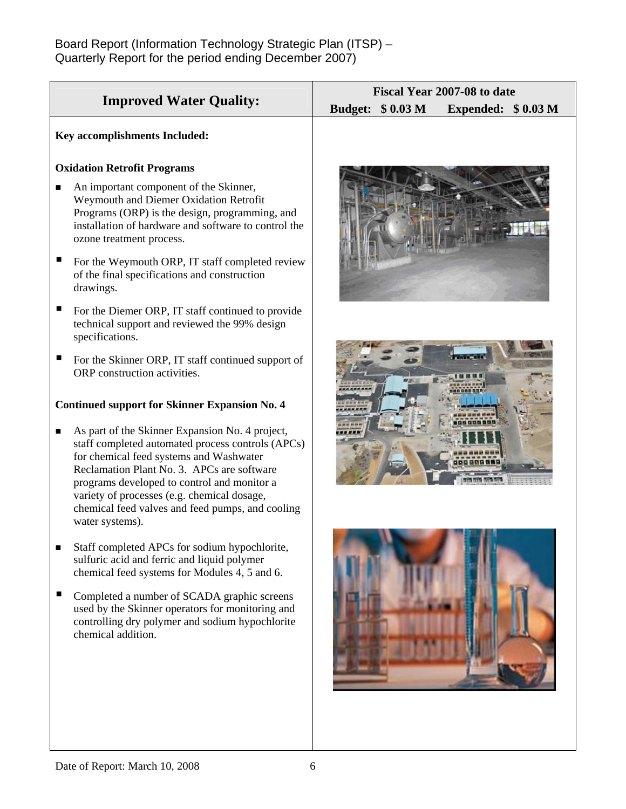|                                                                                                                                                                                                                                                                                                                                                                    | Fiscal Year 2007-08 to date                    |  |
|--------------------------------------------------------------------------------------------------------------------------------------------------------------------------------------------------------------------------------------------------------------------------------------------------------------------------------------------------------------------|------------------------------------------------|--|
| <b>Improved Water Quality:</b>                                                                                                                                                                                                                                                                                                                                     | <b>Budget: \$0.03 M</b><br>Expended: $$0.03 M$ |  |
| Key accomplishments Included:                                                                                                                                                                                                                                                                                                                                      |                                                |  |
| <b>Oxidation Retrofit Programs</b>                                                                                                                                                                                                                                                                                                                                 |                                                |  |
| An important component of the Skinner,<br>Weymouth and Diemer Oxidation Retrofit<br>Programs (ORP) is the design, programming, and<br>installation of hardware and software to control the<br>ozone treatment process.                                                                                                                                             |                                                |  |
| For the Weymouth ORP, IT staff completed review<br>of the final specifications and construction<br>drawings.                                                                                                                                                                                                                                                       |                                                |  |
| For the Diemer ORP, IT staff continued to provide<br>technical support and reviewed the 99% design<br>specifications.                                                                                                                                                                                                                                              |                                                |  |
| For the Skinner ORP, IT staff continued support of<br>ORP construction activities.                                                                                                                                                                                                                                                                                 |                                                |  |
| <b>Continued support for Skinner Expansion No. 4</b>                                                                                                                                                                                                                                                                                                               |                                                |  |
| As part of the Skinner Expansion No. 4 project,<br>staff completed automated process controls (APCs)<br>for chemical feed systems and Washwater<br>Reclamation Plant No. 3. APCs are software<br>programs developed to control and monitor a<br>variety of processes (e.g. chemical dosage,<br>chemical feed valves and feed pumps, and cooling<br>water systems). |                                                |  |
| Staff completed APCs for sodium hypochlorite,<br>■<br>sulfuric acid and ferric and liquid polymer<br>chemical feed systems for Modules 4, 5 and 6.                                                                                                                                                                                                                 |                                                |  |
| ■<br>Completed a number of SCADA graphic screens<br>used by the Skinner operators for monitoring and<br>controlling dry polymer and sodium hypochlorite<br>chemical addition.                                                                                                                                                                                      |                                                |  |
|                                                                                                                                                                                                                                                                                                                                                                    |                                                |  |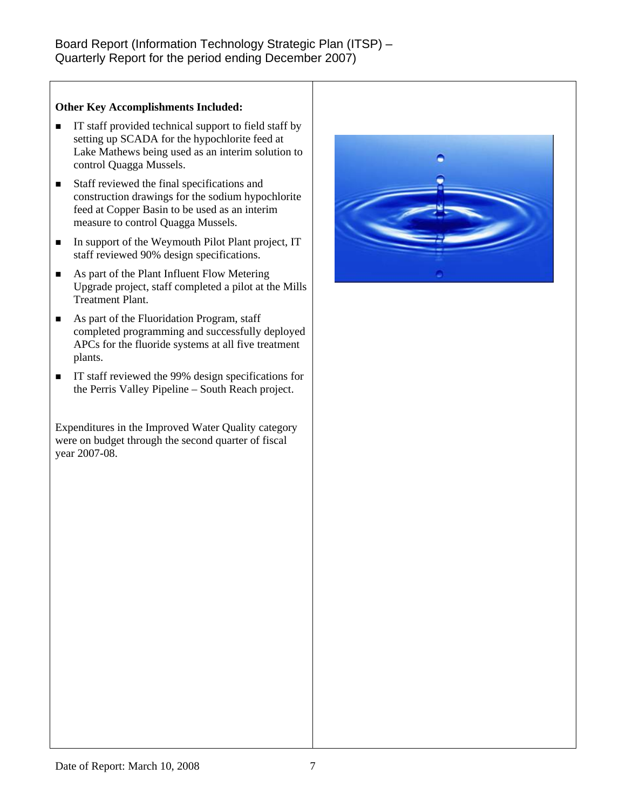## **Other Key Accomplishments Included:**

- $\blacksquare$  IT staff provided technical support to field staff by setting up SCADA for the hypochlorite feed at Lake Mathews being used as an interim solution to control Quagga Mussels.
- Staff reviewed the final specifications and construction drawings for the sodium hypochlorite feed at Copper Basin to be used as an interim measure to control Quagga Mussels.
- In support of the Weymouth Pilot Plant project, IT staff reviewed 90% design specifications.
- As part of the Plant Influent Flow Metering Upgrade project, staff completed a pilot at the Mills Treatment Plant.
- As part of the Fluoridation Program, staff completed programming and successfully deployed APCs for the fluoride systems at all five treatment plants.
- IT staff reviewed the 99% design specifications for the Perris Valley Pipeline – South Reach project.

Expenditures in the Improved Water Quality category were on budget through the second quarter of fiscal year 2007-08.

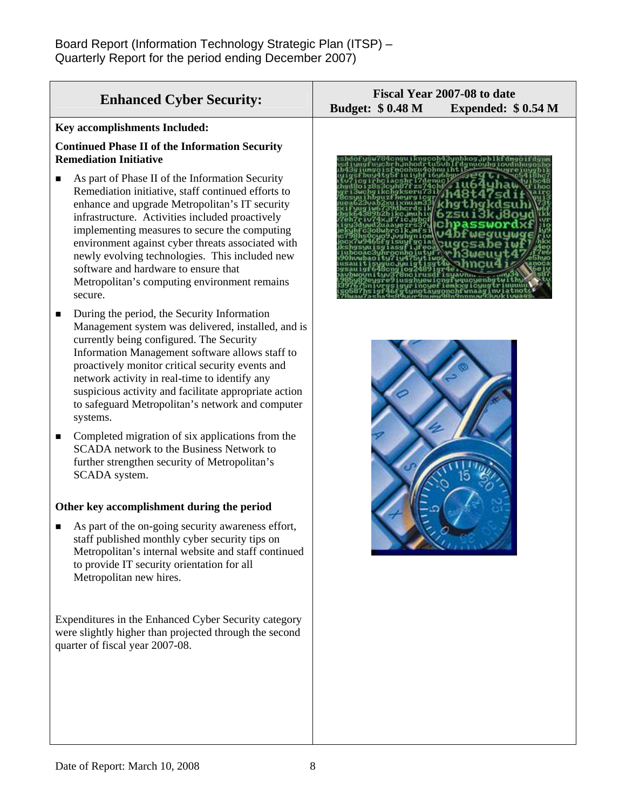| <b>Enhanced Cyber Security:</b>                                                                                                                                                                                                                                                                                                                                                                                                                                       | Fiscal Year 2007-08 to date<br><b>Budget: \$0.48 M</b><br>Expended: $$0.54 M$ |
|-----------------------------------------------------------------------------------------------------------------------------------------------------------------------------------------------------------------------------------------------------------------------------------------------------------------------------------------------------------------------------------------------------------------------------------------------------------------------|-------------------------------------------------------------------------------|
| Key accomplishments Included:                                                                                                                                                                                                                                                                                                                                                                                                                                         |                                                                               |
| <b>Continued Phase II of the Information Security</b><br><b>Remediation Initiative</b>                                                                                                                                                                                                                                                                                                                                                                                |                                                                               |
| As part of Phase II of the Information Security<br>Remediation initiative, staff continued efforts to<br>enhance and upgrade Metropolitan's IT security<br>infrastructure. Activities included proactively<br>implementing measures to secure the computing<br>environment against cyber threats associated with<br>newly evolving technologies. This included new<br>software and hardware to ensure that<br>Metropolitan's computing environment remains<br>secure. |                                                                               |
| During the period, the Security Information<br>Management system was delivered, installed, and is<br>currently being configured. The Security<br>Information Management software allows staff to<br>proactively monitor critical security events and<br>network activity in real-time to identify any<br>suspicious activity and facilitate appropriate action<br>to safeguard Metropolitan's network and computer<br>systems.                                        |                                                                               |
| Completed migration of six applications from the<br>п<br>SCADA network to the Business Network to<br>further strengthen security of Metropolitan's<br>SCADA system.                                                                                                                                                                                                                                                                                                   |                                                                               |
| Other key accomplishment during the period                                                                                                                                                                                                                                                                                                                                                                                                                            |                                                                               |

As part of the on-going security awareness effort, staff published monthly cyber security tips on Metropolitan's internal website and staff continued to provide IT security orientation for all Metropolitan new hires.

Expenditures in the Enhanced Cyber Security category were slightly higher than projected through the second quarter of fiscal year 2007-08.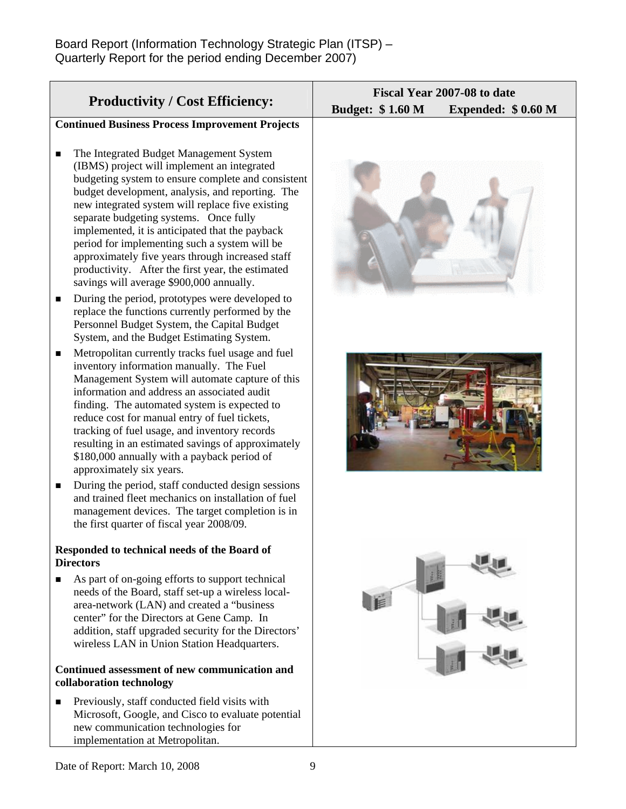|                                                                           |                                                                                                                                                                                                                                                                                                                                                                                                                                                                                                                                                         | Fiscal Year 2007-08 to date                   |  |
|---------------------------------------------------------------------------|---------------------------------------------------------------------------------------------------------------------------------------------------------------------------------------------------------------------------------------------------------------------------------------------------------------------------------------------------------------------------------------------------------------------------------------------------------------------------------------------------------------------------------------------------------|-----------------------------------------------|--|
| <b>Productivity / Cost Efficiency:</b>                                    |                                                                                                                                                                                                                                                                                                                                                                                                                                                                                                                                                         | <b>Budget: \$1.60 M</b><br>Expended: \$0.60 M |  |
|                                                                           | <b>Continued Business Process Improvement Projects</b>                                                                                                                                                                                                                                                                                                                                                                                                                                                                                                  |                                               |  |
| ■                                                                         | The Integrated Budget Management System<br>(IBMS) project will implement an integrated<br>budgeting system to ensure complete and consistent<br>budget development, analysis, and reporting. The<br>new integrated system will replace five existing<br>separate budgeting systems. Once fully<br>implemented, it is anticipated that the payback<br>period for implementing such a system will be<br>approximately five years through increased staff<br>productivity. After the first year, the estimated<br>savings will average \$900,000 annually. |                                               |  |
| п                                                                         | During the period, prototypes were developed to<br>replace the functions currently performed by the<br>Personnel Budget System, the Capital Budget<br>System, and the Budget Estimating System.                                                                                                                                                                                                                                                                                                                                                         |                                               |  |
| п                                                                         | Metropolitan currently tracks fuel usage and fuel<br>inventory information manually. The Fuel<br>Management System will automate capture of this<br>information and address an associated audit<br>finding. The automated system is expected to<br>reduce cost for manual entry of fuel tickets,<br>tracking of fuel usage, and inventory records<br>resulting in an estimated savings of approximately<br>\$180,000 annually with a payback period of<br>approximately six years.                                                                      |                                               |  |
| п                                                                         | During the period, staff conducted design sessions<br>and trained fleet mechanics on installation of fuel<br>management devices. The target completion is in<br>the first quarter of fiscal year 2008/09.                                                                                                                                                                                                                                                                                                                                               |                                               |  |
|                                                                           | Responded to technical needs of the Board of<br><b>Directors</b>                                                                                                                                                                                                                                                                                                                                                                                                                                                                                        |                                               |  |
| п                                                                         | As part of on-going efforts to support technical<br>needs of the Board, staff set-up a wireless local-<br>area-network (LAN) and created a "business<br>center" for the Directors at Gene Camp. In<br>addition, staff upgraded security for the Directors'<br>wireless LAN in Union Station Headquarters.                                                                                                                                                                                                                                               |                                               |  |
| Continued assessment of new communication and<br>collaboration technology |                                                                                                                                                                                                                                                                                                                                                                                                                                                                                                                                                         |                                               |  |
| ■                                                                         | Previously, staff conducted field visits with<br>Microsoft, Google, and Cisco to evaluate potential<br>new communication technologies for<br>implementation at Metropolitan.                                                                                                                                                                                                                                                                                                                                                                            |                                               |  |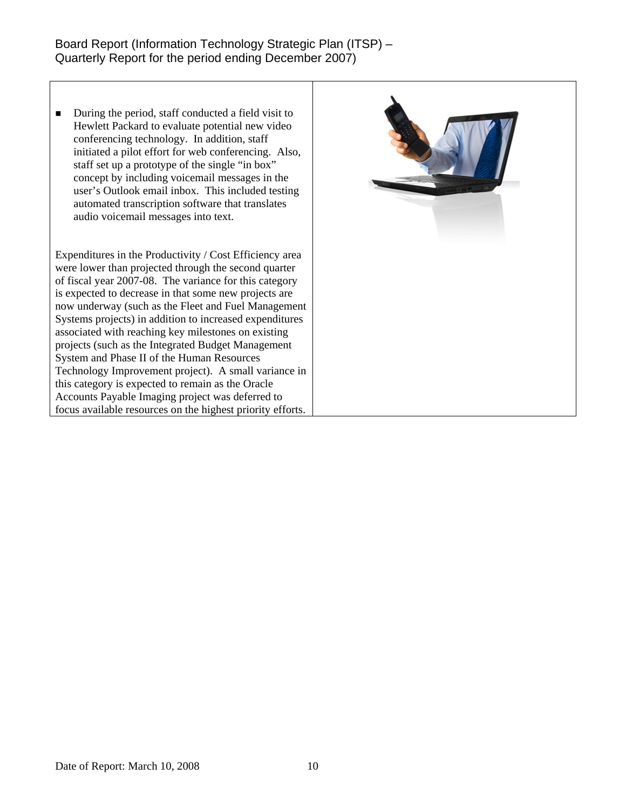■ During the period, staff conducted a field visit to Hewlett Packard to evaluate potential new video conferencing technology. In addition, staff initiated a pilot effort for web conferencing. Also, staff set up a prototype of the single "in box" concept by including voicemail messages in the user's Outlook email inbox. This included testing automated transcription software that translates audio voicemail messages into text.

Expenditures in the Productivity / Cost Efficiency area were lower than projected through the second quarter of fiscal year 2007-08. The variance for this category is expected to decrease in that some new projects are now underway (such as the Fleet and Fuel Management Systems projects) in addition to increased expenditures associated with reaching key milestones on existing projects (such as the Integrated Budget Management System and Phase II of the Human Resources Technology Improvement project). A small variance in this category is expected to remain as the Oracle Accounts Payable Imaging project was deferred to focus available resources on the highest priority efforts.

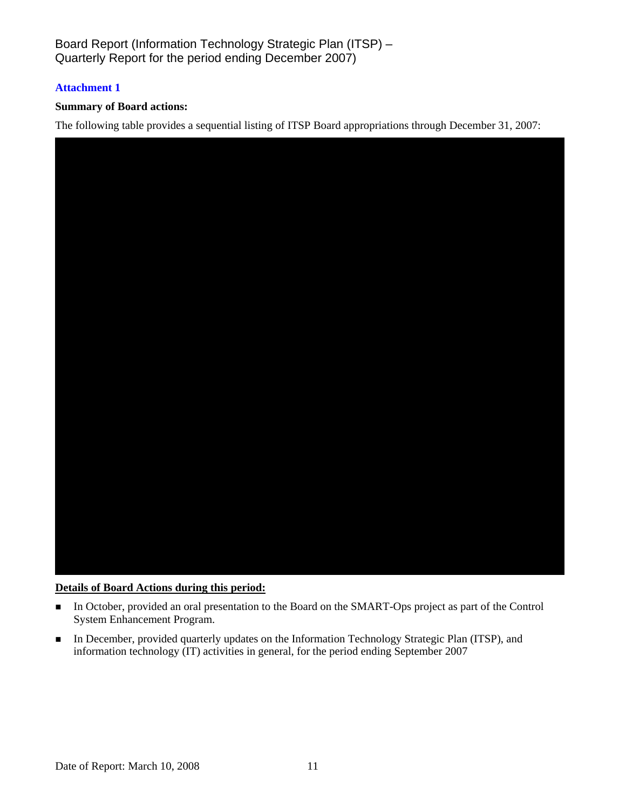## **Attachment 1**

## **Summary of Board actions:**

The following table provides a sequential listing of ITSP Board appropriations through December 31, 2007:



#### **Details of Board Actions during this period:**

- In October, provided an oral presentation to the Board on the SMART-Ops project as part of the Control System Enhancement Program.
- In December, provided quarterly updates on the Information Technology Strategic Plan (ITSP), and information technology (IT) activities in general, for the period ending September 2007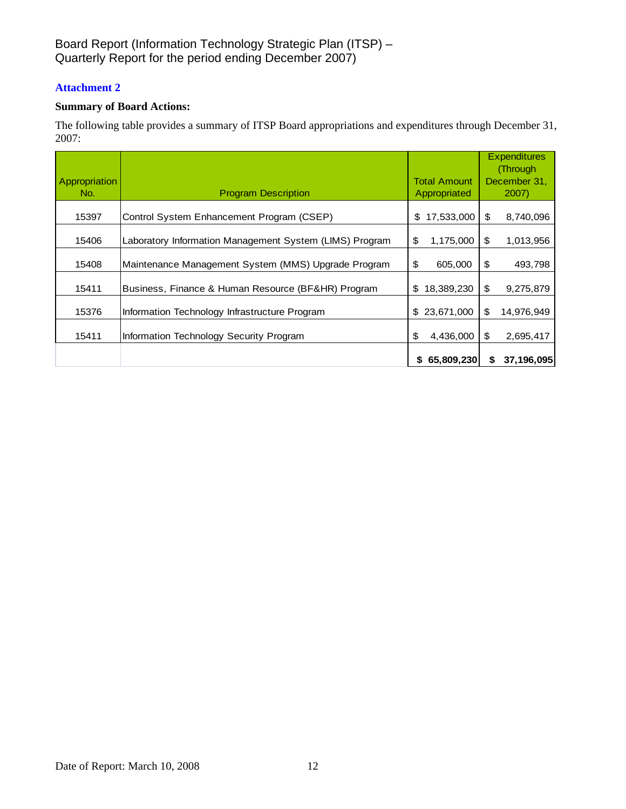## **Attachment 2**

## **Summary of Board Actions:**

The following table provides a summary of ITSP Board appropriations and expenditures through December 31, 2007:

| <b>Appropriation</b><br>No. | <b>Program Description</b>                              | <b>Total Amount</b><br>Appropriated | <b>Expenditures</b><br>(Through<br>December 31,<br>2007 |
|-----------------------------|---------------------------------------------------------|-------------------------------------|---------------------------------------------------------|
| 15397                       | Control System Enhancement Program (CSEP)               | \$17,533,000                        | \$<br>8,740,096                                         |
| 15406                       | Laboratory Information Management System (LIMS) Program | 1,175,000<br>\$                     | \$<br>1,013,956                                         |
| 15408                       | Maintenance Management System (MMS) Upgrade Program     | 605,000<br>\$                       | \$<br>493,798                                           |
| 15411                       | Business, Finance & Human Resource (BF&HR) Program      | 18,389,230<br>S                     | \$<br>9,275,879                                         |
| 15376                       | Information Technology Infrastructure Program           | 23,671,000<br>\$                    | \$<br>14,976,949                                        |
| 15411                       | Information Technology Security Program                 | 4,436,000<br>\$                     | \$<br>2,695,417                                         |
|                             |                                                         | 65,809,230<br>\$                    | 37,196,095<br>S                                         |